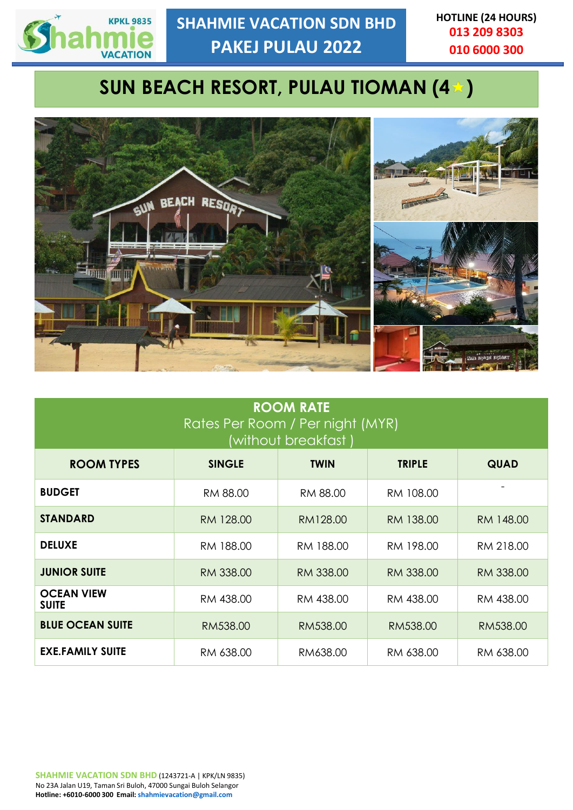

**HOTLINE (24 HOURS) 013 209 8303 010 6000 300**

# **SUN BEACH RESORT, PULAU TIOMAN (4 )**



| <b>ROOM RATE</b><br>Rates Per Room / Per night (MYR)<br>(without breakfast ) |               |             |               |             |
|------------------------------------------------------------------------------|---------------|-------------|---------------|-------------|
| <b>ROOM TYPES</b>                                                            | <b>SINGLE</b> | <b>TWIN</b> | <b>TRIPLE</b> | <b>QUAD</b> |
| <b>BUDGET</b>                                                                | RM 88.00      | RM 88.00    | RM 108.00     |             |
| <b>STANDARD</b>                                                              | RM 128.00     | RM128.00    | RM 138.00     | RM 148.00   |
| <b>DELUXE</b>                                                                | RM 188.00     | RM 188.00   | RM 198.00     | RM 218.00   |
| <b>JUNIOR SUITE</b>                                                          | RM 338.00     | RM 338.00   | RM 338.00     | RM 338.00   |
| <b>OCEAN VIEW</b><br><b>SUITE</b>                                            | RM 438.00     | RM 438.00   | RM 438.00     | RM 438.00   |
| <b>BLUE OCEAN SUITE</b>                                                      | RM538.00      | RM538.00    | RM538.00      | RM538.00    |
| <b>EXE.FAMILY SUITE</b>                                                      | RM 638.00     | RM638.00    | RM 638.00     | RM 638.00   |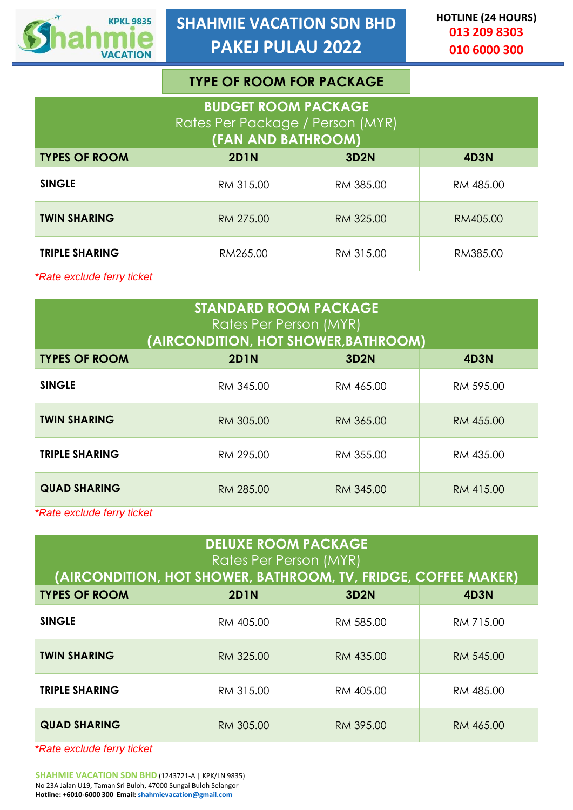

|                                                                                      | <b>TYPE OF ROOM FOR PACKAGE</b> |             |             |
|--------------------------------------------------------------------------------------|---------------------------------|-------------|-------------|
| <b>BUDGET ROOM PACKAGE</b><br>Rates Per Package / Person (MYR)<br>(FAN AND BATHROOM) |                                 |             |             |
| <b>TYPES OF ROOM</b>                                                                 | <b>2D1N</b>                     | <b>3D2N</b> | <b>4D3N</b> |
| <b>SINGLE</b>                                                                        | RM 315.00                       | RM 385.00   | RM 485.00   |
| <b>TWIN SHARING</b>                                                                  | RM 275.00                       | RM 325.00   | RM405.00    |
| <b>TRIPLE SHARING</b>                                                                | RM265.00                        | RM 315.00   | RM385.00    |
| *Rate exclude ferry ticket                                                           |                                 |             |             |

| <b>STANDARD ROOM PACKAGE</b><br>Rates Per Person (MYR)<br>(AIRCONDITION, HOT SHOWER, BATHROOM) |             |             |           |
|------------------------------------------------------------------------------------------------|-------------|-------------|-----------|
| <b>TYPES OF ROOM</b>                                                                           | <b>2D1N</b> | <b>3D2N</b> | 4D3N      |
| <b>SINGLE</b>                                                                                  | RM 345.00   | RM 465.00   | RM 595.00 |
| <b>TWIN SHARING</b>                                                                            | RM 305.00   | RM 365.00   | RM 455.00 |
| <b>TRIPLE SHARING</b>                                                                          | RM 295.00   | RM 355.00   | RM 435.00 |
| <b>QUAD SHARING</b>                                                                            | RM 285.00   | RM 345.00   | RM 415.00 |

*\*Rate exclude ferry ticket*

| <b>DELUXE ROOM PACKAGE</b><br>Rates Per Person (MYR)<br>(AIRCONDITION, HOT SHOWER, BATHROOM, TV, FRIDGE, COFFEE MAKER) |             |             |             |
|------------------------------------------------------------------------------------------------------------------------|-------------|-------------|-------------|
|                                                                                                                        |             |             |             |
| <b>TYPES OF ROOM</b>                                                                                                   | <b>2D1N</b> | <b>3D2N</b> | <b>4D3N</b> |
| <b>SINGLE</b>                                                                                                          | RM 405.00   | RM 585.00   | RM 715.00   |
| <b>TWIN SHARING</b>                                                                                                    | RM 325.00   | RM 435.00   | RM 545.00   |
| <b>TRIPLE SHARING</b>                                                                                                  | RM 315.00   | RM 405.00   | RM 485.00   |
| <b>QUAD SHARING</b>                                                                                                    | RM 305.00   | RM 395.00   | RM 465.00   |

*\*Rate exclude ferry ticket*

**SHAHMIE VACATION SDN BHD** (1243721-A | KPK/LN 9835) No 23A Jalan U19, Taman Sri Buloh, 47000 Sungai Buloh Selangor **Hotline: +6010-6000 300 Email: [shahmievacation@gmail.com](mailto:info@shahmievacation.com)**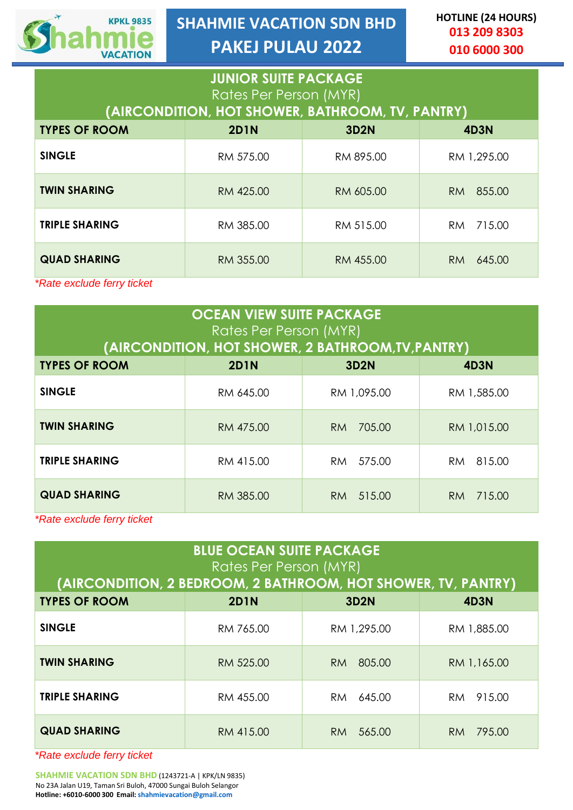

**SHAHMIE VACATION SDN BHD PAKEJ PULAU 2022**

**HOTLINE (24 HOURS) 013 209 8303 010 6000 300**

| <b>JUNIOR SUITE PACKAGE</b><br>Rates Per Person (MYR) |                                                  |             |                |
|-------------------------------------------------------|--------------------------------------------------|-------------|----------------|
|                                                       | (AIRCONDITION, HOT SHOWER, BATHROOM, TV, PANTRY) |             |                |
| <b>TYPES OF ROOM</b>                                  | <b>2D1N</b>                                      | <b>3D2N</b> | <b>4D3N</b>    |
| <b>SINGLE</b>                                         | RM 575.00                                        | RM 895.00   | RM 1,295.00    |
| <b>TWIN SHARING</b>                                   | RM 425.00                                        | RM 605.00   | RM 855.00      |
| <b>TRIPLE SHARING</b>                                 | RM 385.00                                        | RM 515.00   | 715.00<br>RM - |
| <b>QUAD SHARING</b>                                   | RM 355.00                                        | RM 455.00   | 645.00<br>RM.  |

*\*Rate exclude ferry ticket*

| <b>OCEAN VIEW SUITE PACKAGE</b><br>Rates Per Person (MYR) |                                                    |               |               |
|-----------------------------------------------------------|----------------------------------------------------|---------------|---------------|
|                                                           | (AIRCONDITION, HOT SHOWER, 2 BATHROOM, TV, PANTRY) |               |               |
| <b>TYPES OF ROOM</b>                                      | <b>2D1N</b>                                        | <b>3D2N</b>   | 4D3N          |
| <b>SINGLE</b>                                             | RM 645.00                                          | RM 1,095.00   | RM 1,585.00   |
| <b>TWIN SHARING</b>                                       | RM 475.00                                          | 705.00<br>RM. | RM 1,015.00   |
| <b>TRIPLE SHARING</b>                                     | RM 415.00                                          | 575.00<br>RM. | RM 815.00     |
| <b>QUAD SHARING</b>                                       | RM 385.00                                          | 515.00<br>RM. | 715.00<br>RM. |

*\*Rate exclude ferry ticket*

| <b>BLUE OCEAN SUITE PACKAGE</b><br>Rates Per Person (MYR)<br>(AIRCONDITION, 2 BEDROOM, 2 BATHROOM, HOT SHOWER, TV, PANTRY) |             |               |                     |
|----------------------------------------------------------------------------------------------------------------------------|-------------|---------------|---------------------|
| <b>TYPES OF ROOM</b>                                                                                                       | <b>2D1N</b> | <b>3D2N</b>   | 4D3N                |
| <b>SINGLE</b>                                                                                                              | RM 765.00   | RM 1,295.00   | RM 1,885.00         |
| <b>TWIN SHARING</b>                                                                                                        | RM 525.00   | 805.00<br>RM. | RM 1,165.00         |
| <b>TRIPLE SHARING</b>                                                                                                      | RM 455.00   | 645.00<br>RM. | 915.00<br>RM.       |
| <b>QUAD SHARING</b>                                                                                                        | RM 415.00   | 565.00<br>RM. | 795.00<br><b>RM</b> |

*\*Rate exclude ferry ticket*

**SHAHMIE VACATION SDN BHD** (1243721-A | KPK/LN 9835) No 23A Jalan U19, Taman Sri Buloh, 47000 Sungai Buloh Selangor **Hotline: +6010-6000 300 Email: [shahmievacation@gmail.com](mailto:info@shahmievacation.com)**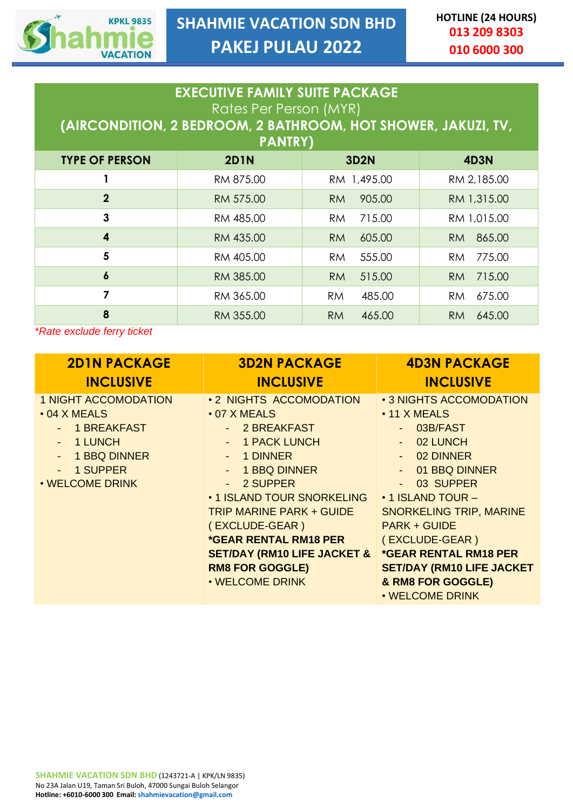

| <b>EXECUTIVE FAMILY SUITE PACKAGE</b><br>Rates Per Person (MYR)<br>(AIRCONDITION, 2 BEDROOM, 2 BATHROOM, HOT SHOWER, JAKUZI, TV,<br><b>PANTRY)</b> |             |                     |                     |
|----------------------------------------------------------------------------------------------------------------------------------------------------|-------------|---------------------|---------------------|
| <b>TYPE OF PERSON</b>                                                                                                                              | <b>2D1N</b> | <b>3D2N</b>         | <b>4D3N</b>         |
|                                                                                                                                                    | RM 875.00   | RM 1,495.00         | RM 2,185.00         |
| $\overline{2}$                                                                                                                                     | RM 575.00   | 905.00<br><b>RM</b> | RM 1,315.00         |
| 3                                                                                                                                                  | RM 485.00   | 715.00<br><b>RM</b> | RM 1,015.00         |
| 4                                                                                                                                                  | RM 435.00   | 605.00<br><b>RM</b> | 865.00<br>RM        |
| 5                                                                                                                                                  | RM 405.00   | 555.00<br><b>RM</b> | 775.00<br>RM.       |
| $\boldsymbol{6}$                                                                                                                                   | RM 385.00   | 515.00<br><b>RM</b> | 715.00<br><b>RM</b> |
| 7                                                                                                                                                  | RM 365.00   | 485.00<br><b>RM</b> | 675.00<br>RM        |
| 8                                                                                                                                                  | RM 355.00   | <b>RM</b><br>465.00 | 645.00<br>RM.       |

*\*Rate exclude ferry ticket*

| <b>2DIN PACKAGE</b>                                                                                                                           | <b>3D2N PACKAGE</b>                                                                                                                                                                                                                                                                                                                      | <b>4D3N PACKAGE</b>                                                                                                                                                                                                                                                                                                                  |
|-----------------------------------------------------------------------------------------------------------------------------------------------|------------------------------------------------------------------------------------------------------------------------------------------------------------------------------------------------------------------------------------------------------------------------------------------------------------------------------------------|--------------------------------------------------------------------------------------------------------------------------------------------------------------------------------------------------------------------------------------------------------------------------------------------------------------------------------------|
| <b>INCLUSIVE</b>                                                                                                                              | <b>INCLUSIVE</b>                                                                                                                                                                                                                                                                                                                         | <b>INCLUSIVE</b>                                                                                                                                                                                                                                                                                                                     |
| <b>1 NIGHT ACCOMODATION</b><br>$\cdot$ 04 X MEALS<br><b>1 BREAKFAST</b><br>1 LUNCH<br>1 BBQ DINNER<br>$\sim$<br>- 1 SUPPER<br>. WELCOME DRINK | • 2 NIGHTS ACCOMODATION<br>$\cdot$ 07 X MEALS<br>- 2 BREAKFAST<br>- 1 PACK LUNCH<br>- 1 DINNER<br>- 1 BBQ DINNER<br>- 2 SUPPER<br>• 1 ISLAND TOUR SNORKELING<br><b>TRIP MARINE PARK + GUIDE</b><br>(EXCLUDE-GEAR)<br><b>*GEAR RENTAL RM18 PER</b><br><b>SET/DAY (RM10 LIFE JACKET &amp;</b><br><b>RM8 FOR GOGGLE)</b><br>. WELCOME DRINK | • 3 NIGHTS ACCOMODATION<br>$\cdot$ 11 X MEALS<br>03B/FAST<br>$-02$ LUNCH<br>- 02 DINNER<br>- 01 BBQ DINNER<br>03 SUPPER<br>• 1 ISLAND TOUR -<br><b>SNORKELING TRIP, MARINE</b><br><b>PARK + GUIDE</b><br>(EXCLUDE-GEAR)<br><b>*GEAR RENTAL RM18 PER</b><br><b>SET/DAY (RM10 LIFE JACKET)</b><br>& RM8 FOR GOGGLE)<br>• WELCOME DRINK |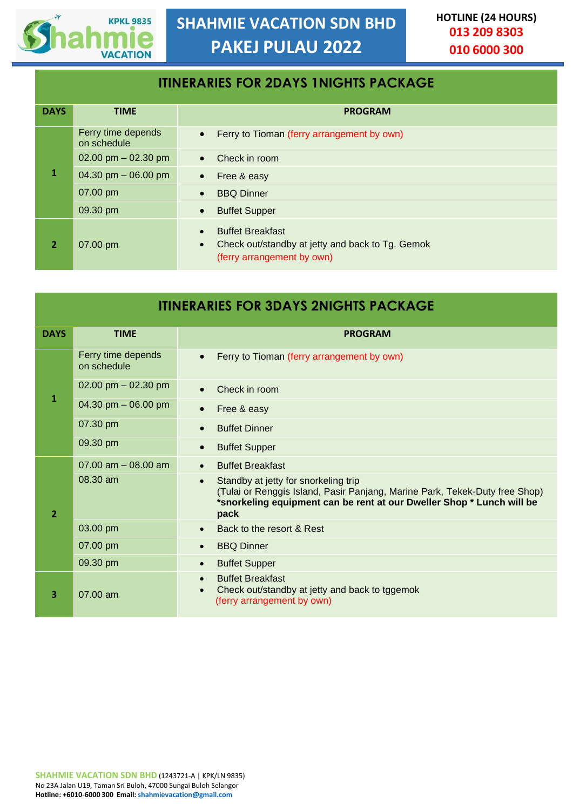

## **ITINERARIES FOR 2DAYS 1NIGHTS PACKAGE DAYS TIME PROGRAM 1** Ferry time depends on schedule • Ferry to Tioman (ferry arrangement by own)  $02.00 \text{ pm} - 02.30 \text{ pm}$  • Check in room 04.30 pm – 06.00 pm • Free & easy 07.00 pm • BBQ Dinner 09.30 pm • Buffet Supper **2** 07.00 pm **Buffet Breakfast** • Check out/standby at jetty and back to Tg. Gemok (ferry arrangement by own)

| <b>ITINERARIES FOR 3DAYS 2NIGHTS PACKAGE</b> |                                   |                                                                                                                                                                                                                   |  |
|----------------------------------------------|-----------------------------------|-------------------------------------------------------------------------------------------------------------------------------------------------------------------------------------------------------------------|--|
| <b>DAYS</b>                                  | <b>TIME</b>                       | <b>PROGRAM</b>                                                                                                                                                                                                    |  |
|                                              | Ferry time depends<br>on schedule | Ferry to Tioman (ferry arrangement by own)                                                                                                                                                                        |  |
|                                              | 02.00 pm $-$ 02.30 pm             | Check in room                                                                                                                                                                                                     |  |
| $\mathbf{1}$                                 | 04.30 pm $-$ 06.00 pm             | Free & easy                                                                                                                                                                                                       |  |
|                                              | 07.30 pm                          | <b>Buffet Dinner</b>                                                                                                                                                                                              |  |
|                                              | 09.30 pm                          | <b>Buffet Supper</b>                                                                                                                                                                                              |  |
|                                              | $07.00$ am $-08.00$ am            | <b>Buffet Breakfast</b>                                                                                                                                                                                           |  |
| $\overline{2}$                               | $08.30$ am                        | Standby at jetty for snorkeling trip<br>$\bullet$<br>(Tulai or Renggis Island, Pasir Panjang, Marine Park, Tekek-Duty free Shop)<br>*snorkeling equipment can be rent at our Dweller Shop * Lunch will be<br>pack |  |
|                                              | 03.00 pm                          | Back to the resort & Rest                                                                                                                                                                                         |  |
|                                              | 07.00 pm                          | <b>BBQ Dinner</b>                                                                                                                                                                                                 |  |
|                                              | 09.30 pm                          | <b>Buffet Supper</b>                                                                                                                                                                                              |  |
| 3                                            | $07.00$ am                        | <b>Buffet Breakfast</b><br>Check out/standby at jetty and back to tggemok<br>(ferry arrangement by own)                                                                                                           |  |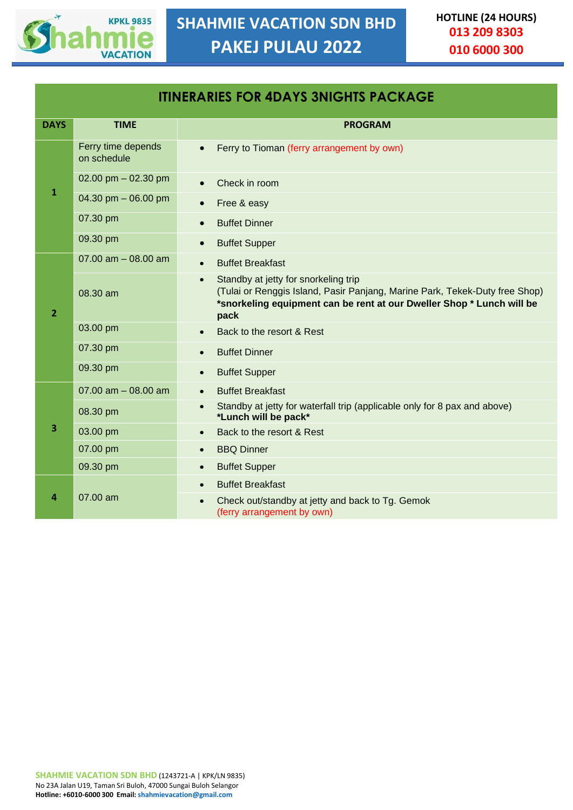

| <b>ITINERARIES FOR 4DAYS 3NIGHTS PACKAGE</b> |                                   |                                                                                                                                                                                                      |
|----------------------------------------------|-----------------------------------|------------------------------------------------------------------------------------------------------------------------------------------------------------------------------------------------------|
| <b>DAYS</b>                                  | <b>TIME</b>                       | <b>PROGRAM</b>                                                                                                                                                                                       |
|                                              | Ferry time depends<br>on schedule | Ferry to Tioman (ferry arrangement by own)                                                                                                                                                           |
|                                              | 02.00 pm $-$ 02.30 pm             | Check in room                                                                                                                                                                                        |
| $\mathbf{1}$                                 | 04.30 pm $-$ 06.00 pm             | Free & easy<br>$\bullet$                                                                                                                                                                             |
|                                              | 07.30 pm                          | <b>Buffet Dinner</b>                                                                                                                                                                                 |
|                                              | 09.30 pm                          | <b>Buffet Supper</b><br>$\bullet$                                                                                                                                                                    |
|                                              | 07.00 am $-$ 08.00 am             | <b>Buffet Breakfast</b>                                                                                                                                                                              |
| $\overline{2}$                               | 08.30 am                          | Standby at jetty for snorkeling trip<br>(Tulai or Renggis Island, Pasir Panjang, Marine Park, Tekek-Duty free Shop)<br>*snorkeling equipment can be rent at our Dweller Shop * Lunch will be<br>pack |
|                                              | 03.00 pm                          | Back to the resort & Rest                                                                                                                                                                            |
|                                              | 07.30 pm                          | <b>Buffet Dinner</b>                                                                                                                                                                                 |
|                                              | 09.30 pm                          | <b>Buffet Supper</b><br>$\bullet$                                                                                                                                                                    |
|                                              | 07.00 $am - 08.00$ am             | <b>Buffet Breakfast</b>                                                                                                                                                                              |
|                                              | 08.30 pm                          | Standby at jetty for waterfall trip (applicable only for 8 pax and above)<br>$\bullet$<br>*Lunch will be pack*                                                                                       |
| 3                                            | 03.00 pm                          | Back to the resort & Rest                                                                                                                                                                            |
|                                              | 07.00 pm                          | <b>BBQ Dinner</b>                                                                                                                                                                                    |
|                                              | 09.30 pm                          | <b>Buffet Supper</b><br>$\bullet$                                                                                                                                                                    |
|                                              |                                   | <b>Buffet Breakfast</b>                                                                                                                                                                              |
| 4                                            | $07.00$ am                        | Check out/standby at jetty and back to Tg. Gemok<br>(ferry arrangement by own)                                                                                                                       |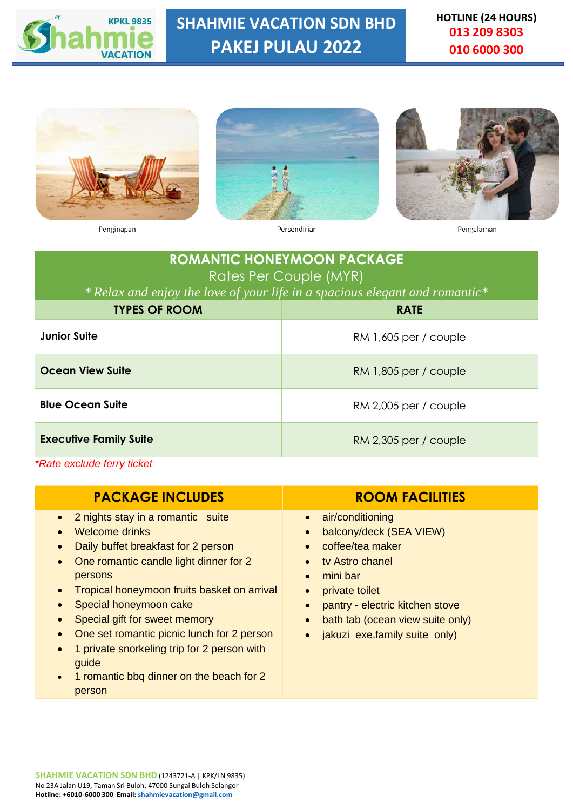

**SHAHMIE VACATION SDN BHD PAKEJ PULAU 2022**

**HOTLINE (24 HOURS) 013 209 8303 010 6000 300**







Penginapan

Persendirian

Pengalaman

| <b>ROMANTIC HONEYMOON PACKAGE</b><br>Rates Per Couple (MYR) |                                                                            |  |
|-------------------------------------------------------------|----------------------------------------------------------------------------|--|
|                                                             | *Relax and enjoy the love of your life in a spacious elegant and romantic* |  |
| <b>TYPES OF ROOM</b>                                        | <b>RATE</b>                                                                |  |
| Junior Suite                                                | $RM$ 1,605 per / couple                                                    |  |
| Ocean View Suite                                            | $RM$ 1,805 per / couple                                                    |  |
| <b>Blue Ocean Suite</b>                                     | $RM$ 2,005 per / couple                                                    |  |
| <b>Executive Family Suite</b>                               | $RM$ 2,305 per / couple                                                    |  |

*\*Rate exclude ferry ticket*

| <b>PACKAGE INCLUDES</b>                                                                                                                                                                                                                                                                                                                                                                                                                                                                | <b>ROOM FACILITIES</b>                                                                                                                                                                                                                             |
|----------------------------------------------------------------------------------------------------------------------------------------------------------------------------------------------------------------------------------------------------------------------------------------------------------------------------------------------------------------------------------------------------------------------------------------------------------------------------------------|----------------------------------------------------------------------------------------------------------------------------------------------------------------------------------------------------------------------------------------------------|
| 2 nights stay in a romantic suite<br>$\bullet$<br>Welcome drinks<br>$\bullet$<br>Daily buffet breakfast for 2 person<br>One romantic candle light dinner for 2<br>persons<br>Tropical honeymoon fruits basket on arrival<br>$\bullet$<br>Special honeymoon cake<br>Special gift for sweet memory<br>One set romantic picnic lunch for 2 person<br>1 private snorkeling trip for 2 person with<br>$\bullet$<br>guide<br>1 romantic bbq dinner on the beach for 2<br>$\bullet$<br>person | air/conditioning<br>$\bullet$<br>balcony/deck (SEA VIEW)<br>coffee/tea maker<br>tv Astro chanel<br>mini bar<br>$\bullet$<br>private toilet<br>pantry - electric kitchen stove<br>bath tab (ocean view suite only)<br>jakuzi exe.family suite only) |